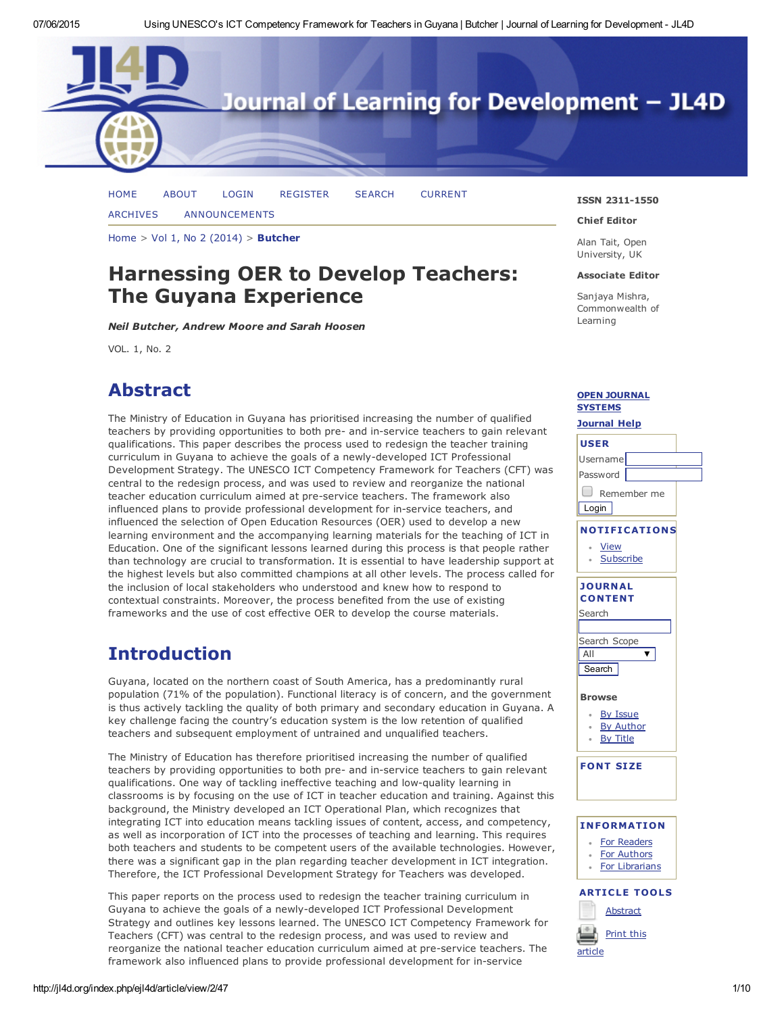

[HOME](http://jl4d.org/index.php/ejl4d/index) [ABOUT](http://jl4d.org/index.php/ejl4d/about) [LOGIN](http://jl4d.org/index.php/ejl4d/login) [REGISTER](http://jl4d.org/index.php/ejl4d/user/register) [SEARCH](http://jl4d.org/index.php/ejl4d/search) [CURRENT](http://jl4d.org/index.php/ejl4d/issue/current)

[ARCHIVES](http://jl4d.org/index.php/ejl4d/issue/archive) [ANNOUNCEMENTS](http://jl4d.org/index.php/ejl4d/announcement)

[Home](http://jl4d.org/index.php/ejl4d/index) > Vol 1, No 2 [\(2014\)](http://jl4d.org/index.php/ejl4d/issue/view/2) > [Butcher](http://jl4d.org/index.php/ejl4d/article/view/2/47)

# Harnessing OER to Develop Teachers: The Guyana Experience

*Neil Butcher, Andrew Moore and Sarah Hoosen*

VOL. 1, No. 2

# Abstract

The Ministry of Education in Guyana has prioritised increasing the number of qualified teachers by providing opportunities to both pre- and in-service teachers to gain relevant qualifications. This paper describes the process used to redesign the teacher training curriculum in Guyana to achieve the goals of a newly-developed ICT Professional Development Strategy. The UNESCO ICT Competency Framework for Teachers (CFT) was central to the redesign process, and was used to review and reorganize the national teacher education curriculum aimed at pre-service teachers. The framework also influenced plans to provide professional development for in-service teachers, and influenced the selection of Open Education Resources (OER) used to develop a new learning environment and the accompanying learning materials for the teaching of ICT in Education. One of the significant lessons learned during this process is that people rather than technology are crucial to transformation. It is essential to have leadership support at the highest levels but also committed champions at all other levels. The process called for the inclusion of local stakeholders who understood and knew how to respond to contextual constraints. Moreover, the process benefited from the use of existing frameworks and the use of cost effective OER to develop the course materials.

### Introduction

Guyana, located on the northern coast of South America, has a predominantly rural population (71% of the population). Functional literacy is of concern, and the government is thus actively tackling the quality of both primary and secondary education in Guyana. A key challenge facing the country's education system is the low retention of qualified teachers and subsequent employment of untrained and unqualified teachers.

The Ministry of Education has therefore prioritised increasing the number of qualified teachers by providing opportunities to both pre- and in-service teachers to gain relevant [qualifications.](javascript:void(0);) One way of tackling ineffective teaching and low-quality learning in classrooms is by focusing on the use of ICT in teacher education and training. Against this background, the Ministry developed an ICT Operational Plan, which recognizes that integrating ICT into education means tackling issues of content, access, and competency, as well as incorporation of ICT into the processes of teaching and learning. This requires both teachers and students to be competent users of the available technologies. However, there was a significant gap in the plan regarding teacher development in ICT integration. Therefore, the ICT Professional Development Strategy for Teachers was developed.

This paper reports on the process used to redesign the teacher training curriculum in Guyana to achieve the goals of a newly-developed ICT Professional Development Strategy and outlines key lessons learned. The UNESCO ICT Competency Framework for Teachers (CFT) was central to the redesign process, and was used to review and reorganize the national teacher education curriculum aimed at pre-service teachers. The framework also influenced plans to provide professional development for in-service

#### ISSN 2311-1550

#### Chief Editor

Alan Tait, Open University, UK

#### Associate Editor

Sanjaya Mishra, Commonwealth of Learning

### OPEN [JOURNAL](http://pkp.sfu.ca/ojs/) SYSTEMS

### [Journal](javascript:openHelp() Help USER Username Password **D** Remember me **Login** NOTIFICATIONS [View](http://jl4d.org/index.php/ejl4d/notification) **[Subscribe](http://jl4d.org/index.php/ejl4d/notification/subscribeMailList)** JOURNAL **CONTENT** Search Search Scope All  $\overline{\mathbf{v}}$ **Search** Browse By [Issue](http://jl4d.org/index.php/ejl4d/issue/archive) By [Author](http://jl4d.org/index.php/ejl4d/search/authors) By [Title](http://jl4d.org/index.php/ejl4d/search/titles)  $\sim$ FONT SIZE INFORMATION For [Readers](http://jl4d.org/index.php/ejl4d/information/readers) For [Authors](http://jl4d.org/index.php/ejl4d/information/authors) For [Librarians](http://jl4d.org/index.php/ejl4d/information/librarians)

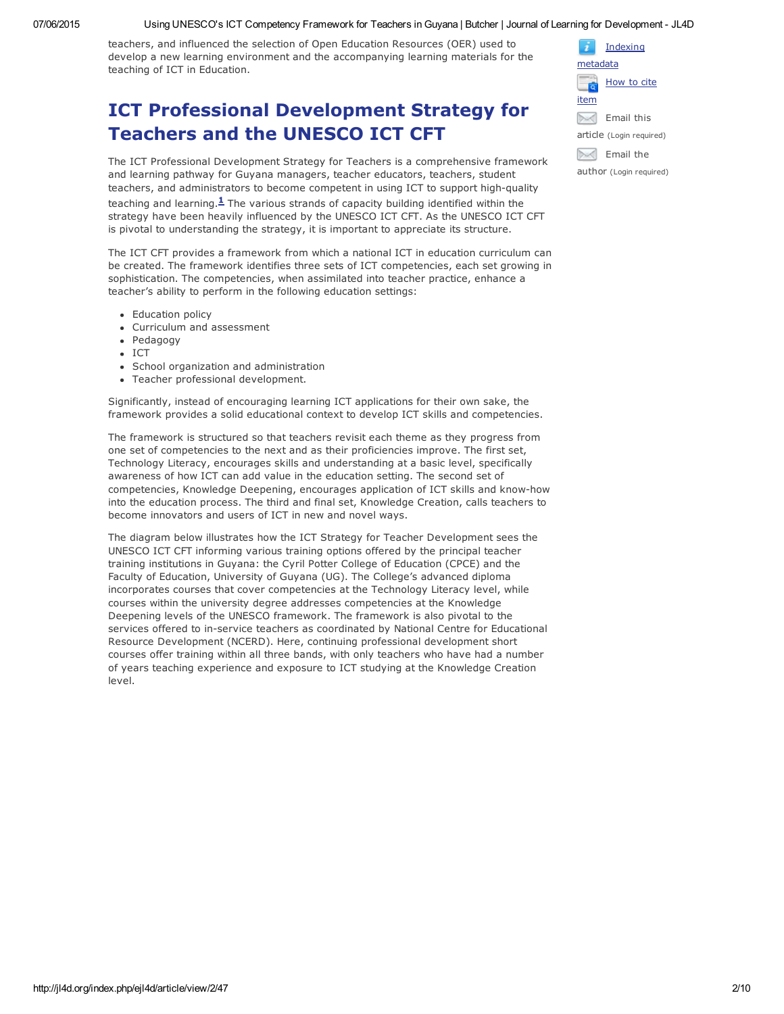#### 07/06/2015 Using UNESCO's ICT Competency Framework for Teachers in Guyana | Butcher | Journal of Learning for Development JL4D

teachers, and influenced the selection of Open Education Resources (OER) used to develop a new learning environment and the accompanying learning materials for the teaching of ICT in Education.

### ICT Professional Development Strategy for Teachers and the UNESCO ICT CFT

The ICT Professional Development Strategy for Teachers is a comprehensive framework and learning pathway for Guyana managers, teacher educators, teachers, student teachers, and administrators to become competent in using ICT to support high-quality teaching and learning. $1$  The various strands of capacity building identified within the strategy have been heavily influenced by the UNESCO ICT CFT. As the UNESCO ICT CFT is pivotal to understanding the strategy, it is important to appreciate its structure.

The ICT CFT provides a framework from which a national ICT in education curriculum can be created. The framework identifies three sets of ICT competencies, each set growing in sophistication. The competencies, when assimilated into teacher practice, enhance a teacher's ability to perform in the following education settings:

- Education policy
- Curriculum and assessment
- Pedagogy
- ICT
- School organization and administration
- Teacher professional development.

Significantly, instead of encouraging learning ICT applications for their own sake, the framework provides a solid educational context to develop ICT skills and competencies.

The framework is structured so that teachers revisit each theme as they progress from one set of competencies to the next and as their proficiencies improve. The first set, Technology Literacy, encourages skills and understanding at a basic level, specifically awareness of how ICT can add value in the education setting. The second set of competencies, Knowledge Deepening, encourages application of ICT skills and knowhow into the education process. The third and final set, Knowledge Creation, calls teachers to become innovators and users of ICT in new and novel ways.

The diagram below illustrates how the ICT Strategy for Teacher Development sees the UNESCO ICT CFT informing various training options offered by the principal teacher training institutions in Guyana: the Cyril Potter College of Education (CPCE) and the Faculty of Education, University of Guyana (UG). The College's advanced diploma incorporates courses that cover competencies at the Technology Literacy level, while courses within the university degree addresses competencies at the Knowledge Deepening levels of the UNESCO framework. The framework is also pivotal to the services offered to in-service teachers as coordinated by National Centre for Educational Resource Development (NCERD). Here, continuing professional development short courses offer training within all three bands, with only teachers who have had a number of years teaching experience and exposure to ICT studying at the Knowledge Creation level.

|                         | Indexing                 |  |  |
|-------------------------|--------------------------|--|--|
| metadata                |                          |  |  |
|                         | How to cite              |  |  |
| item                    |                          |  |  |
|                         | Email this               |  |  |
|                         | article (Login required) |  |  |
|                         | Email the                |  |  |
| author (Login required) |                          |  |  |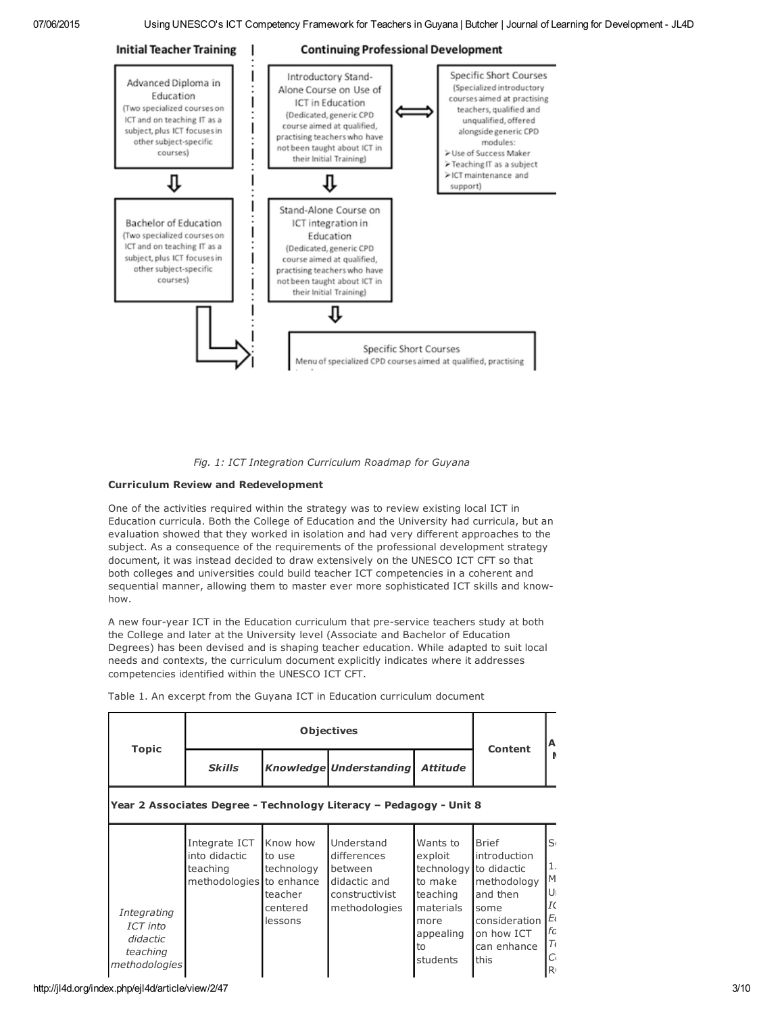

*Fig. 1: ICT Integration Curriculum Roadmap for Guyana*

#### Curriculum Review and Redevelopment

One of the activities required within the strategy was to review existing local ICT in Education curricula. Both the College of Education and the University had curricula, but an evaluation showed that they worked in isolation and had very different approaches to the subject. As a consequence of the requirements of the professional development strategy document, it was instead decided to draw extensively on the UNESCO ICT CFT so that both colleges and universities could build teacher ICT competencies in a coherent and sequential manner, allowing them to master ever more sophisticated ICT skills and knowhow.

A new four-year ICT in the Education curriculum that pre-service teachers study at both the College and later at the University level (Associate and Bachelor of Education Degrees) has been devised and is shaping teacher education. While adapted to suit local needs and contexts, the curriculum document explicitly indicates where it addresses competencies identified within the UNESCO ICT CFT.

|                                                 |                                                                        | <b>Objectives</b>                                                  |                                                                                         |                                                                                                              |                                                                                                               |  |  |
|-------------------------------------------------|------------------------------------------------------------------------|--------------------------------------------------------------------|-----------------------------------------------------------------------------------------|--------------------------------------------------------------------------------------------------------------|---------------------------------------------------------------------------------------------------------------|--|--|
| <b>Topic</b>                                    | <b>Skills</b>                                                          |                                                                    | Knowledge Understanding                                                                 | <b>Attitude</b>                                                                                              | Content                                                                                                       |  |  |
|                                                 |                                                                        |                                                                    | Year 2 Associates Degree - Technology Literacy - Pedagogy - Unit 8                      |                                                                                                              |                                                                                                               |  |  |
| Integrating<br>ICT into<br>didactic<br>teaching | Integrate ICT<br>into didactic<br>teaching<br>methodologies to enhance | Know how<br>to use<br>technology<br>teacher<br>centered<br>lessons | Understand<br>differences<br>between<br>didactic and<br>constructivist<br>methodologies | Wants to<br>exploit<br>technology to didactic<br>to make<br>teaching<br>materials<br>more<br>appealing<br>to | <b>Brief</b><br>introduction<br>methodology<br>and then<br>some<br>consideration<br>on how ICT<br>can enhance |  |  |

students

this

 $|C_1|$  $\mathsf{R}$ 

Table 1. An excerpt from the Guyana ICT in Education curriculum document

*methodologies*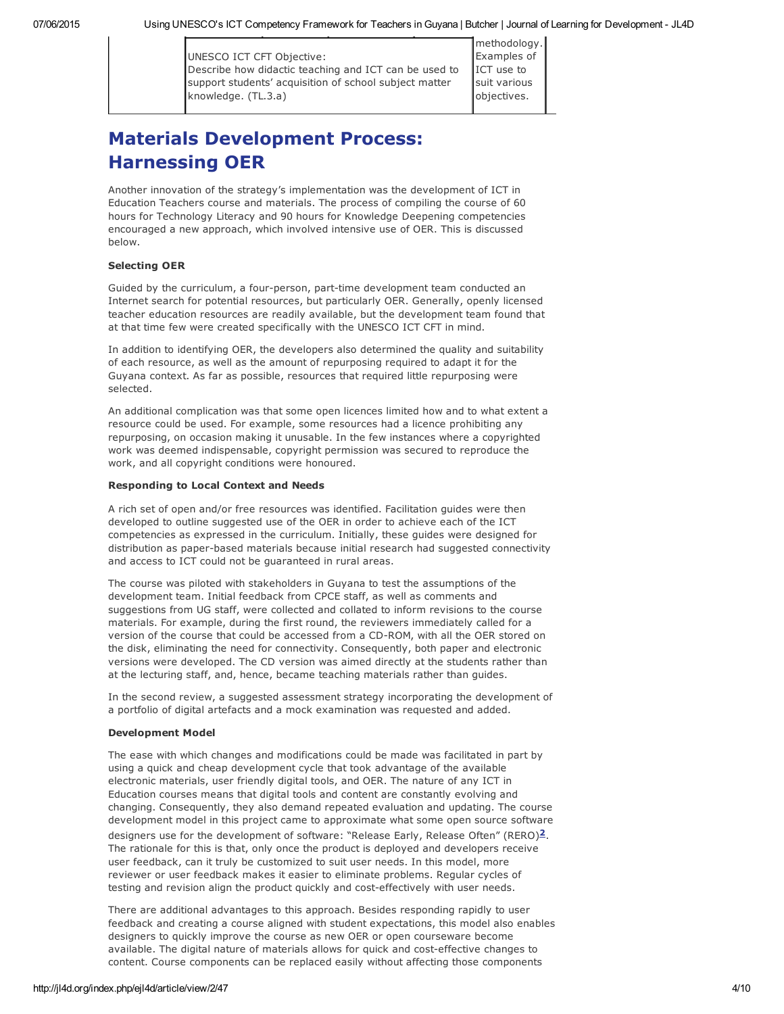methodology. Examples of ICT use to suit various objectives.

# Materials Development Process: Harnessing OER

Another innovation of the strategy's implementation was the development of ICT in Education Teachers course and materials. The process of compiling the course of 60 hours for Technology Literacy and 90 hours for Knowledge Deepening competencies encouraged a new approach, which involved intensive use of OER. This is discussed below.

#### Selecting OER

Guided by the curriculum, a four-person, part-time development team conducted an Internet search for potential resources, but particularly OER. Generally, openly licensed teacher education resources are readily available, but the development team found that at that time few were created specifically with the UNESCO ICT CFT in mind.

In addition to identifying OER, the developers also determined the quality and suitability of each resource, as well as the amount of repurposing required to adapt it for the Guyana context. As far as possible, resources that required little repurposing were selected.

An additional complication was that some open licences limited how and to what extent a resource could be used. For example, some resources had a licence prohibiting any repurposing, on occasion making it unusable. In the few instances where a copyrighted work was deemed indispensable, copyright permission was secured to reproduce the work, and all copyright conditions were honoured.

#### Responding to Local Context and Needs

A rich set of open and/or free resources was identified. Facilitation guides were then developed to outline suggested use of the OER in order to achieve each of the ICT competencies as expressed in the curriculum. Initially, these guides were designed for distribution as paper-based materials because initial research had suggested connectivity and access to ICT could not be guaranteed in rural areas.

The course was piloted with stakeholders in Guyana to test the assumptions of the development team. Initial feedback from CPCE staff, as well as comments and suggestions from UG staff, were collected and collated to inform revisions to the course materials. For example, during the first round, the reviewers immediately called for a version of the course that could be accessed from a CD-ROM, with all the OER stored on the disk, eliminating the need for connectivity. Consequently, both paper and electronic versions were developed. The CD version was aimed directly at the students rather than at the lecturing staff, and, hence, became teaching materials rather than guides.

In the second review, a suggested assessment strategy incorporating the development of a portfolio of digital artefacts and a mock examination was requested and added.

#### Development Model

The ease with which changes and modifications could be made was facilitated in part by using a quick and cheap development cycle that took advantage of the available electronic materials, user friendly digital tools, and OER. The nature of any ICT in Education courses means that digital tools and content are constantly evolving and changing. Consequently, they also demand repeated evaluation and updating. The course development model in this project came to approximate what some open source software designers use for the development of software: "Release Early, Release Often" (RERO)<sup>2</sup>. The rationale for this is that, only once the product is deployed and developers receive user feedback, can it truly be customized to suit user needs. In this model, more reviewer or user feedback makes it easier to eliminate problems. Regular cycles of testing and revision align the product quickly and cost-effectively with user needs.

There are additional advantages to this approach. Besides responding rapidly to user feedback and creating a course aligned with student expectations, this model also enables designers to quickly improve the course as new OER or open courseware become available. The digital nature of materials allows for quick and costeffective changes to content. Course components can be replaced easily without affecting those components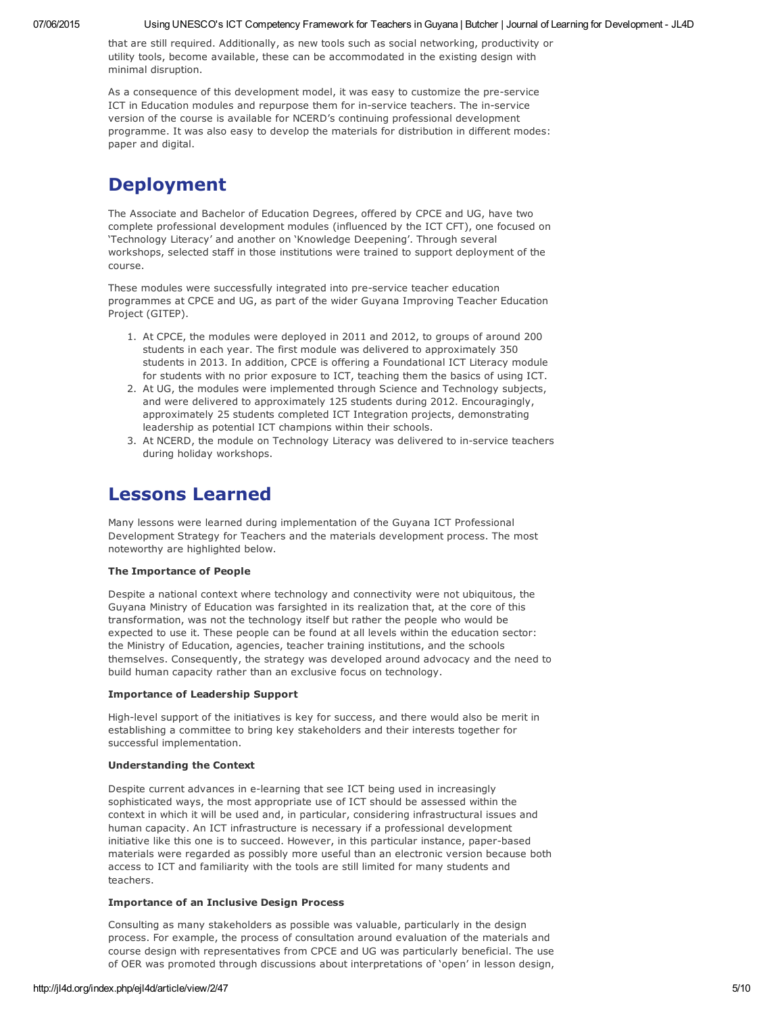that are still required. Additionally, as new tools such as social networking, productivity or utility tools, become available, these can be accommodated in the existing design with minimal disruption.

As a consequence of this development model, it was easy to customize the pre-service ICT in Education modules and repurpose them for in-service teachers. The in-service version of the course is available for NCERD's continuing professional development programme. It was also easy to develop the materials for distribution in different modes: paper and digital.

# Deployment

The Associate and Bachelor of Education Degrees, offered by CPCE and UG, have two complete professional development modules (influenced by the ICT CFT), one focused on 'Technology Literacy' and another on 'Knowledge Deepening'. Through several workshops, selected staff in those institutions were trained to support deployment of the course.

These modules were successfully integrated into preservice teacher education programmes at CPCE and UG, as part of the wider Guyana Improving Teacher Education Project (GITEP).

- 1. At CPCE, the modules were deployed in 2011 and 2012, to groups of around 200 students in each year. The first module was delivered to approximately 350 students in 2013. In addition, CPCE is offering a Foundational ICT Literacy module for students with no prior exposure to ICT, teaching them the basics of using ICT.
- 2. At UG, the modules were implemented through Science and Technology subjects, and were delivered to approximately 125 students during 2012. Encouragingly, approximately 25 students completed ICT Integration projects, demonstrating leadership as potential ICT champions within their schools.
- 3. At NCERD, the module on Technology Literacy was delivered to in-service teachers during holiday workshops.

### Lessons Learned

Many lessons were learned during implementation of the Guyana ICT Professional Development Strategy for Teachers and the materials development process. The most noteworthy are highlighted below.

#### The Importance of People

Despite a national context where technology and connectivity were not ubiquitous, the Guyana Ministry of Education was farsighted in its realization that, at the core of this transformation, was not the technology itself but rather the people who would be expected to use it. These people can be found at all levels within the education sector: the Ministry of Education, agencies, teacher training institutions, and the schools themselves. Consequently, the strategy was developed around advocacy and the need to build human capacity rather than an exclusive focus on technology.

#### Importance of Leadership Support

High-level support of the initiatives is key for success, and there would also be merit in establishing a committee to bring key stakeholders and their interests together for successful implementation.

#### Understanding the Context

Despite current advances in e-learning that see ICT being used in increasingly sophisticated ways, the most appropriate use of ICT should be assessed within the context in which it will be used and, in particular, considering infrastructural issues and human capacity. An ICT infrastructure is necessary if a professional development initiative like this one is to succeed. However, in this particular instance, paper-based materials were regarded as possibly more useful than an electronic version because both access to ICT and familiarity with the tools are still limited for many students and teachers.

#### Importance of an Inclusive Design Process

Consulting as many stakeholders as possible was valuable, particularly in the design process. For example, the process of consultation around evaluation of the materials and course design with representatives from CPCE and UG was particularly beneficial. The use of OER was promoted through discussions about interpretations of 'open' in lesson design,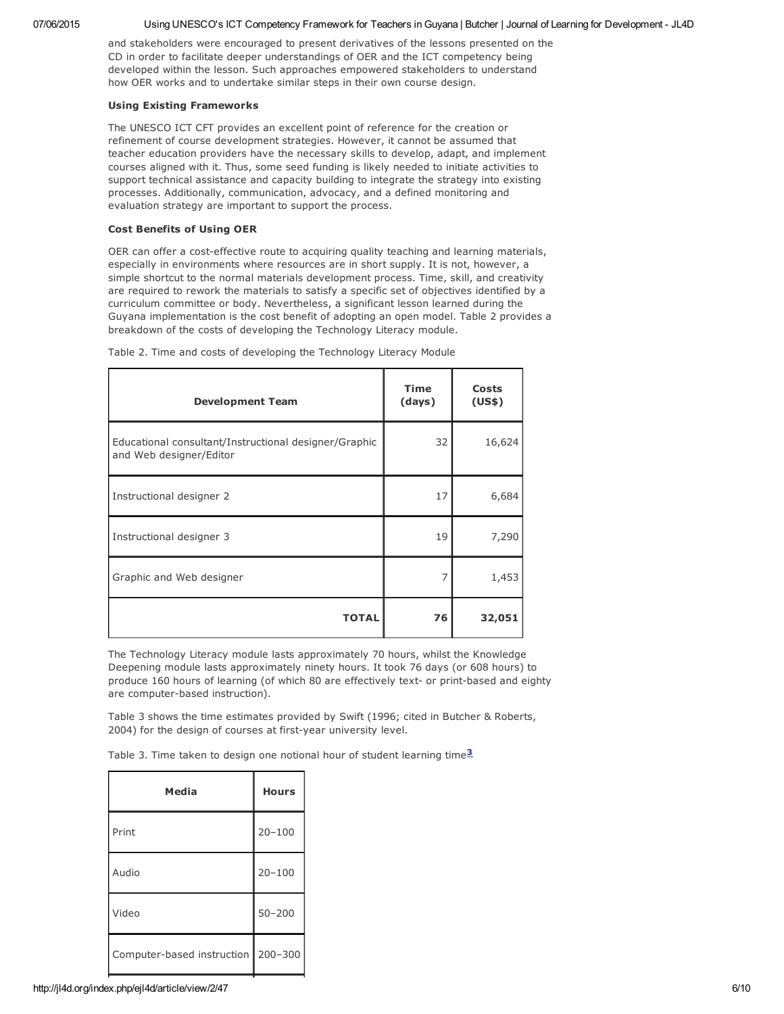#### 07/06/2015 Using UNESCO's ICT Competency Framework for Teachers in Guyana | Butcher | Journal of Learning for Development - JL4D

and stakeholders were encouraged to present derivatives of the lessons presented on the CD in order to facilitate deeper understandings of OER and the ICT competency being developed within the lesson. Such approaches empowered stakeholders to understand how OER works and to undertake similar steps in their own course design.

#### Using Existing Frameworks

The UNESCO ICT CFT provides an excellent point of reference for the creation or refinement of course development strategies. However, it cannot be assumed that teacher education providers have the necessary skills to develop, adapt, and implement courses aligned with it. Thus, some seed funding is likely needed to initiate activities to support technical assistance and capacity building to integrate the strategy into existing processes. Additionally, communication, advocacy, and a defined monitoring and evaluation strategy are important to support the process.

#### Cost Benefits of Using OER

OER can offer a cost-effective route to acquiring quality teaching and learning materials, especially in environments where resources are in short supply. It is not, however, a simple shortcut to the normal materials development process. Time, skill, and creativity are required to rework the materials to satisfy a specific set of objectives identified by a curriculum committee or body. Nevertheless, a significant lesson learned during the Guyana implementation is the cost benefit of adopting an open model. Table 2 provides a breakdown of the costs of developing the Technology Literacy module.

| <b>Development Team</b>                                                          | Time<br>(days) | <b>Costs</b><br>(US\$) |
|----------------------------------------------------------------------------------|----------------|------------------------|
| Educational consultant/Instructional designer/Graphic<br>and Web designer/Editor | 32             | 16,624                 |
| Instructional designer 2                                                         | 17             | 6,684                  |
| Instructional designer 3                                                         | 19             | 7,290                  |
| Graphic and Web designer                                                         | 7              | 1,453                  |
| <b>TOTAL</b>                                                                     | 76             | 32,051                 |

Table 2. Time and costs of developing the Technology Literacy Module

The Technology Literacy module lasts approximately 70 hours, whilst the Knowledge Deepening module lasts approximately ninety hours. It took 76 days (or 608 hours) to produce 160 hours of learning (of which 80 are effectively text- or print-based and eighty are computer-based instruction).

Table 3 shows the time estimates provided by Swift (1996; cited in Butcher & Roberts, 2004) for the design of courses at first-year university level.

Table 3. Time taken to design one notional hour of student learning time $3$ 

| Media                                | <b>Hours</b> |  |
|--------------------------------------|--------------|--|
| Print                                | $20 - 100$   |  |
| Audio                                | $20 - 100$   |  |
| Video                                | $50 - 200$   |  |
| Computer-based instruction   200-300 |              |  |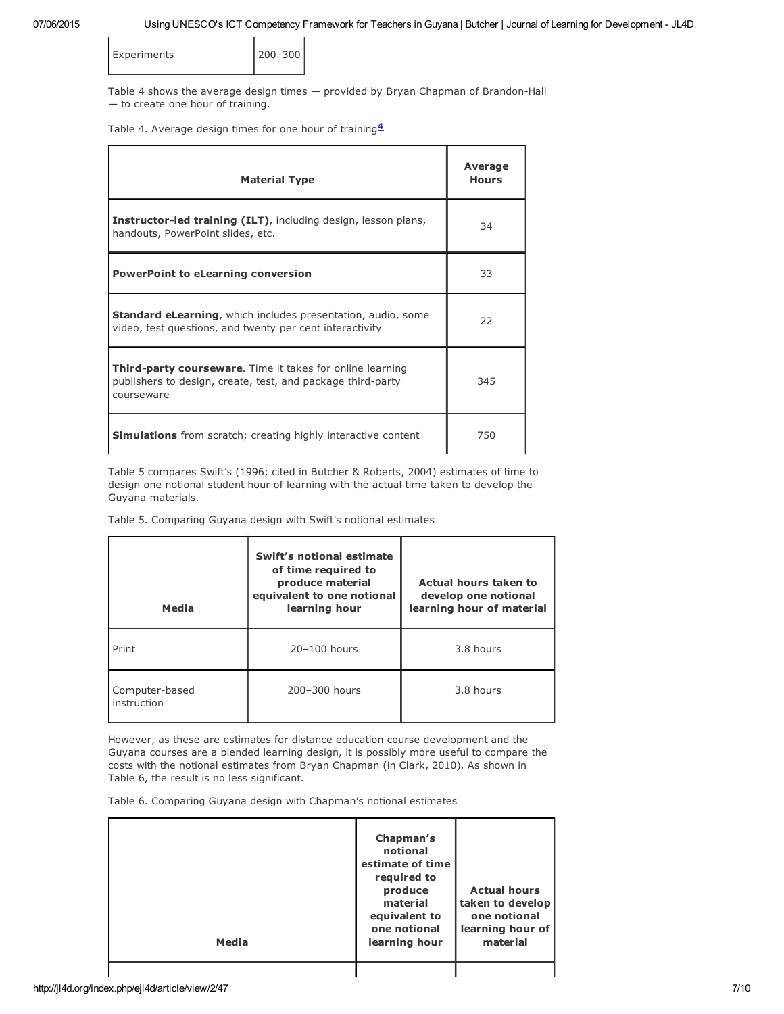| <b>Experiments</b> | $ 200 - 300$ |
|--------------------|--------------|
|                    |              |

Table 4 shows the average design times  $-$  provided by Bryan Chapman of Brandon-Hall — to create one hour of training.

Table 4. Average design times for one hour of training $4$ 

| <b>Material Type</b>                                                                                                                          | Average<br><b>Hours</b> |
|-----------------------------------------------------------------------------------------------------------------------------------------------|-------------------------|
| <b>Instructor-led training (ILT)</b> , including design, lesson plans,<br>handouts, PowerPoint slides, etc.                                   | 34                      |
| <b>PowerPoint to eLearning conversion</b>                                                                                                     | 33                      |
| <b>Standard eLearning, which includes presentation, audio, some</b><br>video, test questions, and twenty per cent interactivity               | 22                      |
| <b>Third-party courseware.</b> Time it takes for online learning<br>publishers to design, create, test, and package third-party<br>courseware | 345                     |
| <b>Simulations</b> from scratch; creating highly interactive content                                                                          | 750                     |

Table 5 compares Swift's (1996; cited in Butcher & Roberts, 2004) estimates of time to design one notional student hour of learning with the actual time taken to develop the Guyana materials.

Table 5. Comparing Guyana design with Swift's notional estimates

| Media                         | Swift's notional estimate<br>of time required to<br>produce material<br>equivalent to one notional<br>learning hour | Actual hours taken to<br>develop one notional<br>learning hour of material |  |
|-------------------------------|---------------------------------------------------------------------------------------------------------------------|----------------------------------------------------------------------------|--|
| Print                         | $20 - 100$ hours                                                                                                    | 3.8 hours                                                                  |  |
| Computer-based<br>instruction | 200-300 hours                                                                                                       | 3.8 hours                                                                  |  |

However, as these are estimates for distance education course development and the Guyana courses are a blended learning design, it is possibly more useful to compare the costs with the notional estimates from Bryan Chapman (in Clark, 2010). As shown in Table 6, the result is no less significant.

Table 6. Comparing Guyana design with Chapman's notional estimates

| Media | Chapman's<br>notional<br>estimate of time<br>required to<br>produce<br>material<br>equivalent to<br>one notional<br>learning hour | <b>Actual hours</b><br>taken to develop<br>one notional<br>learning hour of<br>material |  |
|-------|-----------------------------------------------------------------------------------------------------------------------------------|-----------------------------------------------------------------------------------------|--|
|       |                                                                                                                                   |                                                                                         |  |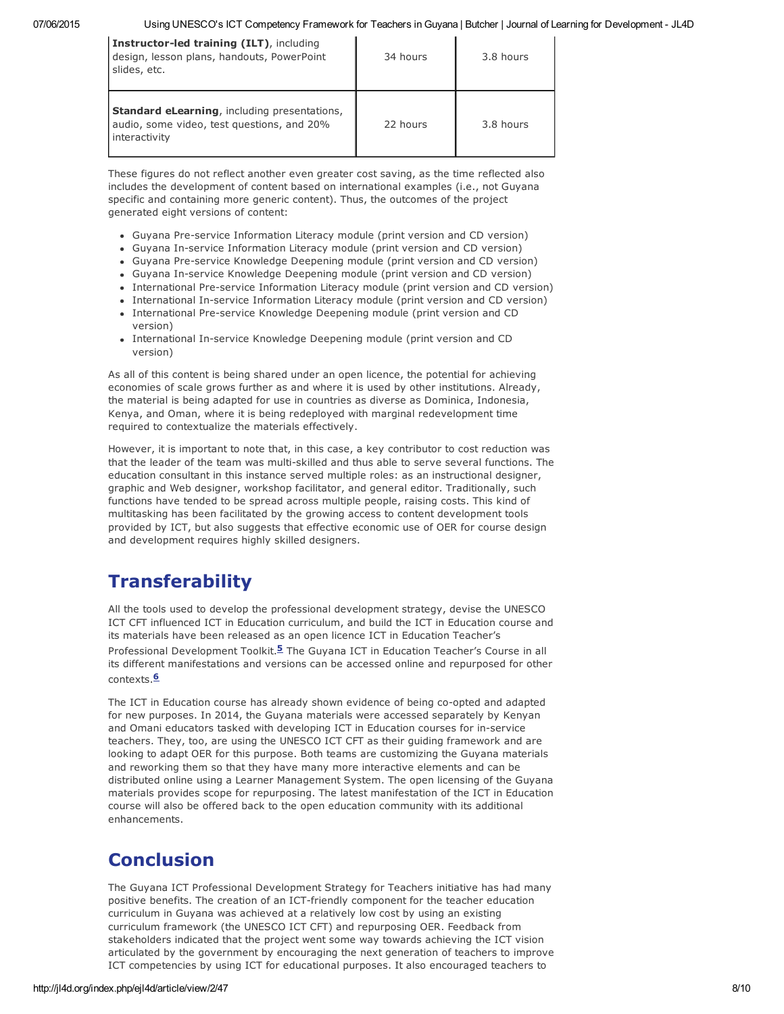| Instructor-led training (ILT), including<br>design, lesson plans, handouts, PowerPoint<br>slides, etc.             | 34 hours | 3.8 hours |
|--------------------------------------------------------------------------------------------------------------------|----------|-----------|
| <b>Standard eLearning, including presentations,</b><br>audio, some video, test questions, and 20%<br>interactivity | 22 hours | 3.8 hours |

These figures do not reflect another even greater cost saving, as the time reflected also includes the development of content based on international examples (i.e., not Guyana specific and containing more generic content). Thus, the outcomes of the project generated eight versions of content:

- Guyana Pre-service Information Literacy module (print version and CD version)
- Guyana In-service Information Literacy module (print version and CD version)
- Guyana Pre-service Knowledge Deepening module (print version and CD version)
- Guyana In-service Knowledge Deepening module (print version and CD version)
- International Pre-service Information Literacy module (print version and CD version)
- International In-service Information Literacy module (print version and CD version)
- International Pre-service Knowledge Deepening module (print version and CD version)
- International In-service Knowledge Deepening module (print version and CD version)

As all of this content is being shared under an open licence, the potential for achieving economies of scale grows further as and where it is used by other institutions. Already, the material is being adapted for use in countries as diverse as Dominica, Indonesia, Kenya, and Oman, where it is being redeployed with marginal redevelopment time required to contextualize the materials effectively.

However, it is important to note that, in this case, a key contributor to cost reduction was that the leader of the team was multi-skilled and thus able to serve several functions. The education consultant in this instance served multiple roles: as an instructional designer, graphic and Web designer, workshop facilitator, and general editor. Traditionally, such functions have tended to be spread across multiple people, raising costs. This kind of multitasking has been facilitated by the growing access to content development tools provided by ICT, but also suggests that effective economic use of OER for course design and development requires highly skilled designers.

### **Transferability**

All the tools used to develop the professional development strategy, devise the UNESCO ICT CFT influenced ICT in Education curriculum, and build the ICT in Education course and its materials have been released as an open licence ICT in Education Teacher's Professional Development Toolkit.<sup>5</sup> The Guyana ICT in Education Teacher's Course in all its different manifestations and versions can be accessed online and repurposed for other contexts.<sup>6</sup>

The ICT in Education course has already shown evidence of being co-opted and adapted for new purposes. In 2014, the Guyana materials were accessed separately by Kenyan and Omani educators tasked with developing ICT in Education courses for in-service teachers. They, too, are using the UNESCO ICT CFT as their guiding framework and are looking to adapt OER for this purpose. Both teams are customizing the Guyana materials and reworking them so that they have many more interactive elements and can be distributed online using a Learner Management System. The open licensing of the Guyana materials provides scope for repurposing. The latest manifestation of the ICT in Education course will also be offered back to the open education community with its additional enhancements.

# Conclusion

The Guyana ICT Professional Development Strategy for Teachers initiative has had many positive benefits. The creation of an ICT-friendly component for the teacher education curriculum in Guyana was achieved at a relatively low cost by using an existing curriculum framework (the UNESCO ICT CFT) and repurposing OER. Feedback from stakeholders indicated that the project went some way towards achieving the ICT vision articulated by the government by encouraging the next generation of teachers to improve ICT competencies by using ICT for educational purposes. It also encouraged teachers to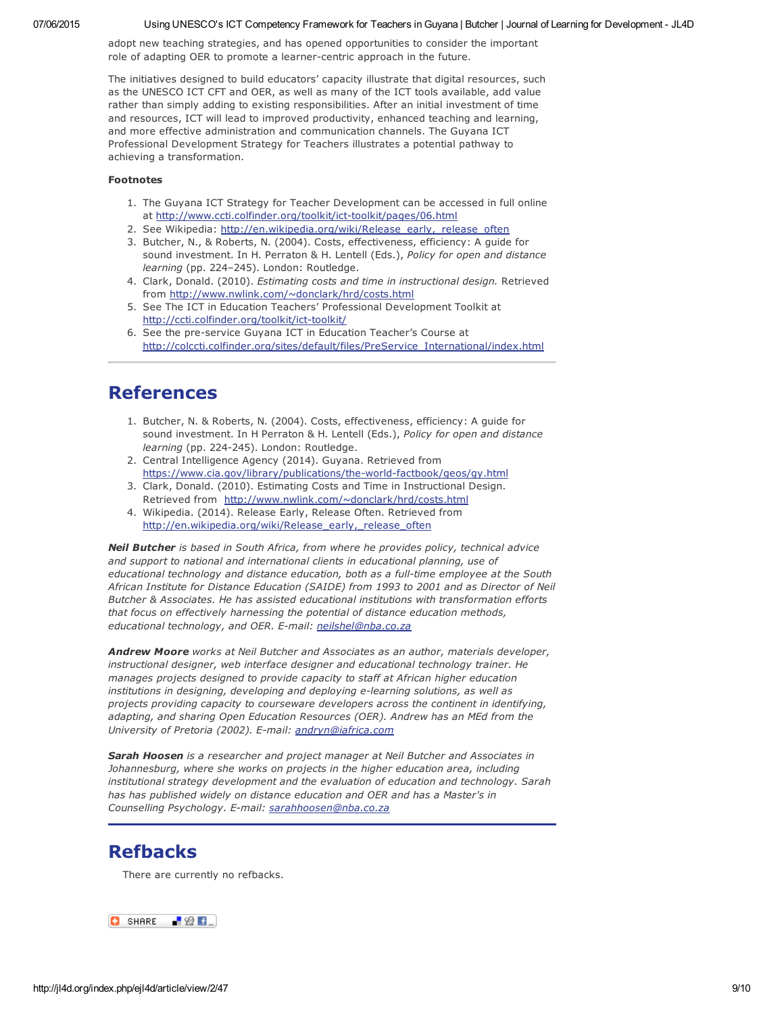#### 07/06/2015 Using UNESCO's ICT Competency Framework for Teachers in Guyana | Butcher | Journal of Learning for Development - JL4D

adopt new teaching strategies, and has opened opportunities to consider the important role of adapting OER to promote a learner-centric approach in the future.

The initiatives designed to build educators' capacity illustrate that digital resources, such as the UNESCO ICT CFT and OER, as well as many of the ICT tools available, add value rather than simply adding to existing responsibilities. After an initial investment of time and resources, ICT will lead to improved productivity, enhanced teaching and learning, and more effective administration and communication channels. The Guyana ICT Professional Development Strategy for Teachers illustrates a potential pathway to achieving a transformation.

#### Footnotes

- 1. The Guyana ICT Strategy for Teacher Development can be accessed in full online at http://www.ccti.colfinder.org/toolkit/ict-toolkit/pages/06.html
- 2. See Wikipedia: [http://en.wikipedia.org/wiki/Release\\_early,\\_release\\_often](http://en.wikipedia.org/wiki/Release_early,_release_often)
- 3. Butcher, N., & Roberts, N. (2004). Costs, effectiveness, efficiency: A guide for sound investment. In H. Perraton & H. Lentell (Eds.), *Policy for open and distance learning* (pp. 224–245). London: Routledge.
- 4. Clark, Donald. (2010). *Estimating costs and time in instructional design.* Retrieved from <http://www.nwlink.com/~donclark/hrd/costs.html>
- 5. See The ICT in Education Teachers' Professional Development Toolkit at http://ccti.colfinder.org/toolkit/ict-toolkit/
- 6. See the pre-service Guyana ICT in Education Teacher's Course at [http://colccti.colfinder.org/sites/default/files/PreService\\_International/index.html](http://colccti.colfinder.org/sites/default/files/PreService_International/index.html)

### References

- 1. Butcher, N. & Roberts, N. (2004). Costs, effectiveness, efficiency: A guide for sound investment. In H Perraton & H. Lentell (Eds.), *Policy for open and distance learning* (pp. 224-245). London: Routledge.
- 2. Central Intelligence Agency (2014). Guyana. Retrieved from https://www.cia.gov/library/publications/the-world-factbook/geos/gy.html
- 3. Clark, Donald. (2010). Estimating Costs and Time in Instructional Design. Retrieved from <http://www.nwlink.com/~donclark/hrd/costs.html>
- 4. Wikipedia. (2014). Release Early, Release Often. Retrieved from http://en.wikipedia.org/wiki/Release\_early, release\_often

*Neil Butcher is based in South Africa, from where he provides policy, technical advice and support to national and international clients in educational planning, use of educational technology and distance education, both as a fulltime employee at the South African Institute for Distance Education (SAIDE) from 1993 to 2001 and as Director of Neil Butcher & Associates. He has assisted educational institutions with transformation efforts that focus on effectively harnessing the potential of distance education methods, educational technology, and OER. Email: [neilshel@nba.co.za](mailto:neilshel@nba.co.za)*

*Andrew Moore works at Neil Butcher and Associates as an author, materials developer, instructional designer, web interface designer and educational technology trainer. He manages projects designed to provide capacity to staff at African higher education institutions* in *designing*, *developing* and *deploying e-learning solutions*, as well as *projects providing capacity to courseware developers across the continent in identifying, adapting, and sharing Open Education Resources (OER). Andrew has an MEd from the University of Pretoria (2002). Email: [andryn@iafrica.com](mailto:andryn@iafrica.com)*

*Sarah Hoosen is a researcher and project manager at Neil Butcher and Associates in Johannesburg, where she works on projects in the higher education area, including institutional strategy development and the evaluation of education and technology. Sarah has has published widely on distance education and OER and has a Master's in Counselling Psychology. Email: [sarahhoosen@nba.co.za](mailto:sarahhoosen@nba.co.za)*

### Refbacks

There are currently no refbacks.